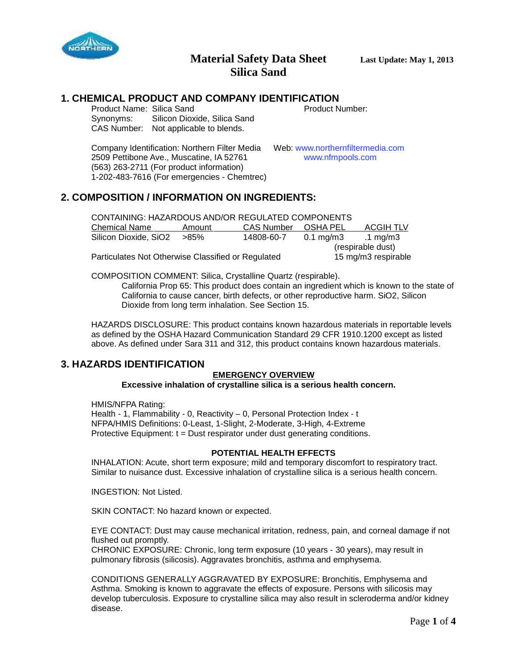

# **1. CHEMICAL PRODUCT AND COMPANY IDENTIFICATION**<br>Product Name: Silica Sand<br>Product Number:

Product Name: Silica Sand Synonyms: Silicon Dioxide, Silica Sand CAS Number: Not applicable to blends.

Company Identification: Northern Filter Media Web: www.northernfiltermedia.com<br>2509 Pettibone Ave., Muscatine, IA 52761 www.nfmpools.com 2509 Pettibone Ave., Muscatine, IA 52761 (563) 263-2711 (For product information) 1-202-483-7616 (For emergencies - Chemtrec)

## **2. COMPOSITION / INFORMATION ON INGREDIENTS:**

| CONTAINING: HAZARDOUS AND/OR REGULATED COMPONENTS  |        |            |                     |             |  |
|----------------------------------------------------|--------|------------|---------------------|-------------|--|
| <b>Chemical Name</b>                               | Amount | CAS Number | OSHA PEL            | ACGIH TLV   |  |
| Silicon Dioxide, SiO2                              | >85%   | 14808-60-7 | 0.1 mg/m3           | .1 mg/m $3$ |  |
|                                                    |        |            | (respirable dust)   |             |  |
| Particulates Not Otherwise Classified or Regulated |        |            | 15 mg/m3 respirable |             |  |

COMPOSITION COMMENT: Silica, Crystalline Quartz (respirable).

California Prop 65: This product does contain an ingredient which is known to the state of California to cause cancer, birth defects, or other reproductive harm. SiO2, Silicon Dioxide from long term inhalation. See Section 15.

HAZARDS DISCLOSURE: This product contains known hazardous materials in reportable levels as defined by the OSHA Hazard Communication Standard 29 CFR 1910.1200 except as listed above. As defined under Sara 311 and 312, this product contains known hazardous materials.

#### **3. HAZARDS IDENTIFICATION**

#### **EMERGENCY OVERVIEW**

**Excessive inhalation of crystalline silica is a serious health concern.**

HMIS/NFPA Rating:

Health - 1, Flammability - 0, Reactivity – 0, Personal Protection Index - t NFPA/HMIS Definitions: 0-Least, 1-Slight, 2-Moderate, 3-High, 4-Extreme Protective Equipment:  $t =$  Dust respirator under dust generating conditions.

#### **POTENTIAL HEALTH EFFECTS**

INHALATION: Acute, short term exposure; mild and temporary discomfort to respiratory tract. Similar to nuisance dust. Excessive inhalation of crystalline silica is a serious health concern.

INGESTION: Not Listed.

SKIN CONTACT: No hazard known or expected.

EYE CONTACT: Dust may cause mechanical irritation, redness, pain, and corneal damage if not flushed out promptly.

CHRONIC EXPOSURE: Chronic, long term exposure (10 years - 30 years), may result in pulmonary fibrosis (silicosis). Aggravates bronchitis, asthma and emphysema.

CONDITIONS GENERALLY AGGRAVATED BY EXPOSURE: Bronchitis, Emphysema and Asthma. Smoking is known to aggravate the effects of exposure. Persons with silicosis may develop tuberculosis. Exposure to crystalline silica may also result in scleroderma and/or kidney disease.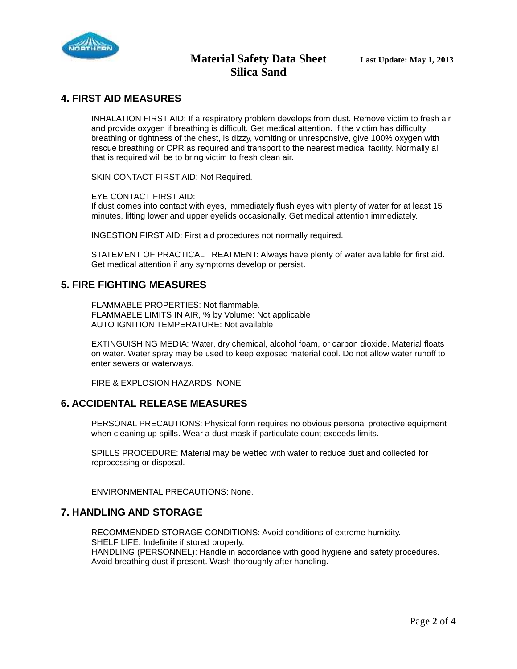

## **4. FIRST AID MEASURES**

INHALATION FIRST AID: If a respiratory problem develops from dust. Remove victim to fresh air and provide oxygen if breathing is difficult. Get medical attention. If the victim has difficulty breathing or tightness of the chest, is dizzy, vomiting or unresponsive, give 100% oxygen with rescue breathing or CPR as required and transport to the nearest medical facility. Normally all that is required will be to bring victim to fresh clean air.

SKIN CONTACT FIRST AID: Not Required.

#### EYE CONTACT FIRST AID:

If dust comes into contact with eyes, immediately flush eyes with plenty of water for at least 15 minutes, lifting lower and upper eyelids occasionally. Get medical attention immediately.

INGESTION FIRST AID: First aid procedures not normally required.

STATEMENT OF PRACTICAL TREATMENT: Always have plenty of water available for first aid. Get medical attention if any symptoms develop or persist.

#### **5. FIRE FIGHTING MEASURES**

FLAMMABLE PROPERTIES: Not flammable. FLAMMABLE LIMITS IN AIR, % by Volume: Not applicable AUTO IGNITION TEMPERATURE: Not available

EXTINGUISHING MEDIA: Water, dry chemical, alcohol foam, or carbon dioxide. Material floats on water. Water spray may be used to keep exposed material cool. Do not allow water runoff to enter sewers or waterways.

FIRE & EXPLOSION HAZARDS: NONE

#### **6. ACCIDENTAL RELEASE MEASURES**

PERSONAL PRECAUTIONS: Physical form requires no obvious personal protective equipment when cleaning up spills. Wear a dust mask if particulate count exceeds limits.

SPILLS PROCEDURE: Material may be wetted with water to reduce dust and collected for reprocessing or disposal.

ENVIRONMENTAL PRECAUTIONS: None.

#### **7. HANDLING AND STORAGE**

RECOMMENDED STORAGE CONDITIONS: Avoid conditions of extreme humidity. SHELF LIFE: Indefinite if stored properly. HANDLING (PERSONNEL): Handle in accordance with good hygiene and safety procedures. Avoid breathing dust if present. Wash thoroughly after handling.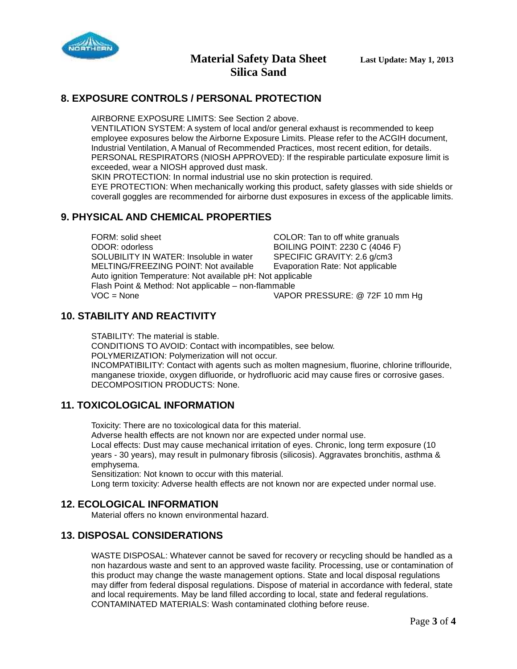

# **Material Safety Data Sheet Last Update: May 1, 2013 Silica Sand**

# **8. EXPOSURE CONTROLS / PERSONAL PROTECTION**

AIRBORNE EXPOSURE LIMITS: See Section 2 above.

VENTILATION SYSTEM: A system of local and/or general exhaust is recommended to keep employee exposures below the Airborne Exposure Limits. Please refer to the ACGIH document, Industrial Ventilation, A Manual of Recommended Practices, most recent edition, for details. PERSONAL RESPIRATORS (NIOSH APPROVED): If the respirable particulate exposure limit is exceeded, wear a NIOSH approved dust mask.

SKIN PROTECTION: In normal industrial use no skin protection is required.

EYE PROTECTION: When mechanically working this product, safety glasses with side shields or coverall goggles are recommended for airborne dust exposures in excess of the applicable limits.

# **9. PHYSICAL AND CHEMICAL PROPERTIES**

FORM: solid sheet **FORM:** solid sheet **COLOR: Tan to off white granuals**<br>COLOR: odorless **COLOR: COLOR: COLOR: COLOR: COLOR: COLOR: COLOR: COLOR: COLOR: COLOR: COLOR: COLOR: COLOR: COLO** BOILING POINT: 2230 C (4046 F) SOLUBILITY IN WATER: Insoluble in water SPECIFIC GRAVITY: 2.6 g/cm3 MELTING/FREEZING POINT: Not available Evaporation Rate: Not applicable Auto ignition Temperature: Not available pH: Not applicable Flash Point & Method: Not applicable – non-flammable VOC = None VAPOR PRESSURE: @ 72F 10 mm Hg

# **10. STABILITY AND REACTIVITY**

STABILITY: The material is stable. CONDITIONS TO AVOID: Contact with incompatibles, see below. POLYMERIZATION: Polymerization will not occur. INCOMPATIBILITY: Contact with agents such as molten magnesium, fluorine, chlorine triflouride, manganese trioxide, oxygen difluoride, or hydrofluoric acid may cause fires or corrosive gases. DECOMPOSITION PRODUCTS: None.

## **11. TOXICOLOGICAL INFORMATION**

Toxicity: There are no toxicological data for this material.

Adverse health effects are not known nor are expected under normal use.

Local effects: Dust may cause mechanical irritation of eyes. Chronic, long term exposure (10 years - 30 years), may result in pulmonary fibrosis (silicosis). Aggravates bronchitis, asthma & emphysema.

Sensitization: Not known to occur with this material.

Long term toxicity: Adverse health effects are not known nor are expected under normal use.

## **12. ECOLOGICAL INFORMATION**

Material offers no known environmental hazard.

## **13. DISPOSAL CONSIDERATIONS**

WASTE DISPOSAL: Whatever cannot be saved for recovery or recycling should be handled as a non hazardous waste and sent to an approved waste facility. Processing, use or contamination of this product may change the waste management options. State and local disposal regulations may differ from federal disposal regulations. Dispose of material in accordance with federal, state and local requirements. May be land filled according to local, state and federal regulations. CONTAMINATED MATERIALS: Wash contaminated clothing before reuse.